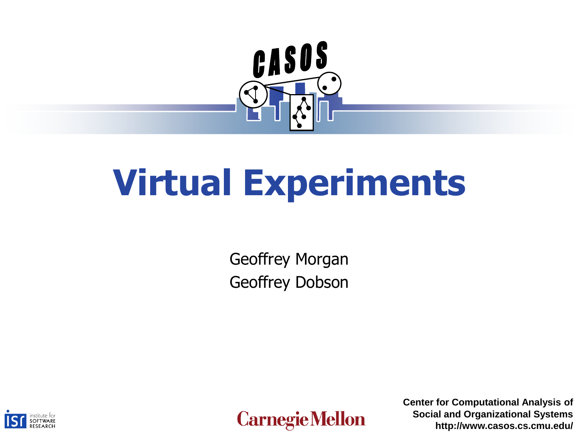

# **Virtual Experiments**

Geoffrey Morgan Geoffrey Dobson





**Center for Computational Analysis of Social and Organizational Systems http://www.casos.cs.cmu.edu/**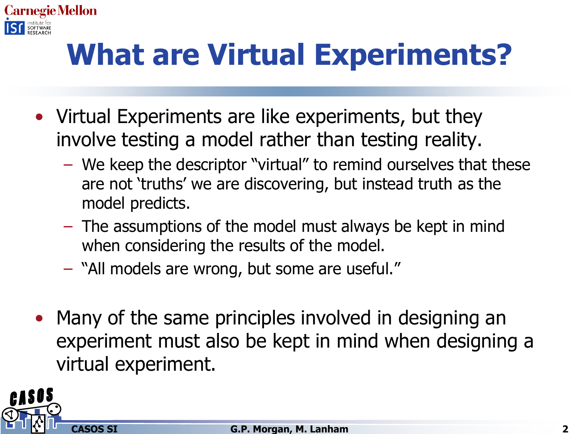

# **What are Virtual Experiments?**

- Virtual Experiments are like experiments, but they involve testing a model rather than testing reality.
	- We keep the descriptor "virtual" to remind ourselves that these are not 'truths' we are discovering, but instead truth as the model predicts.
	- The assumptions of the model must always be kept in mind when considering the results of the model.
	- "All models are wrong, but some are useful."
- Many of the same principles involved in designing an experiment must also be kept in mind when designing a virtual experiment.

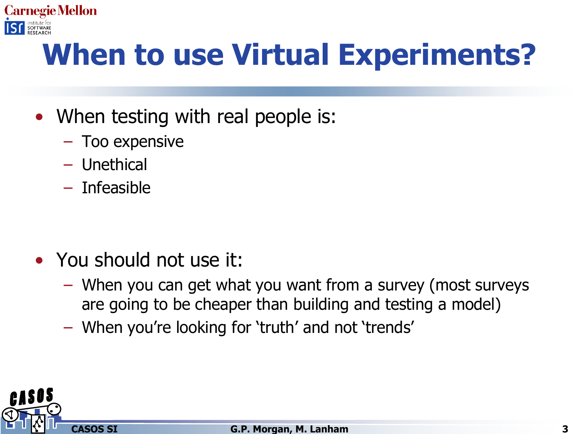

# **When to use Virtual Experiments?**

- When testing with real people is:
	- Too expensive
	- Unethical
	- Infeasible

- You should not use it:
	- When you can get what you want from a survey (most surveys are going to be cheaper than building and testing a model)
	- When you're looking for 'truth' and not 'trends'

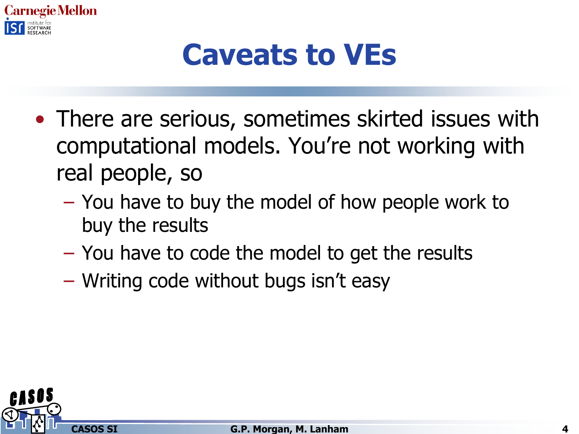

#### **Caveats to VEs**

- There are serious, sometimes skirted issues with computational models. You're not working with real people, so
	- You have to buy the model of how people work to buy the results
	- You have to code the model to get the results
	- Writing code without bugs isn't easy

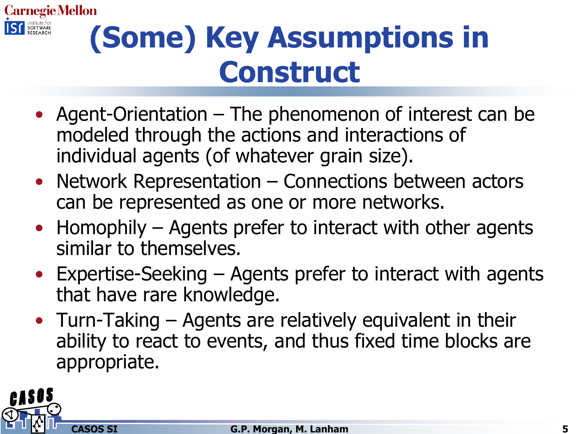

# **(Some) Key Assumptions in Construct**

- Agent-Orientation The phenomenon of interest can be modeled through the actions and interactions of individual agents (of whatever grain size).
- Network Representation Connections between actors can be represented as one or more networks.
- Homophily Agents prefer to interact with other agents similar to themselves.
- Expertise-Seeking Agents prefer to interact with agents that have rare knowledge.
- Turn-Taking Agents are relatively equivalent in their ability to react to events, and thus fixed time blocks are appropriate.

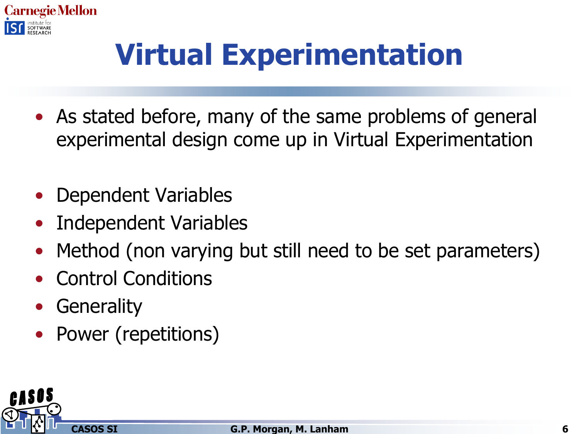

# **Virtual Experimentation**

- As stated before, many of the same problems of general experimental design come up in Virtual Experimentation
- Dependent Variables
- Independent Variables
- Method (non varying but still need to be set parameters)
- Control Conditions
- **Generality**
- Power (repetitions)

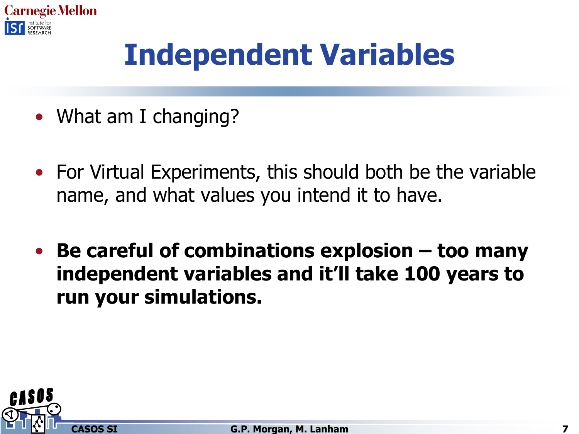

# **Independent Variables**

- What am I changing?
- For Virtual Experiments, this should both be the variable name, and what values you intend it to have.
- **Be careful of combinations explosion – too many independent variables and it'll take 100 years to run your simulations.**

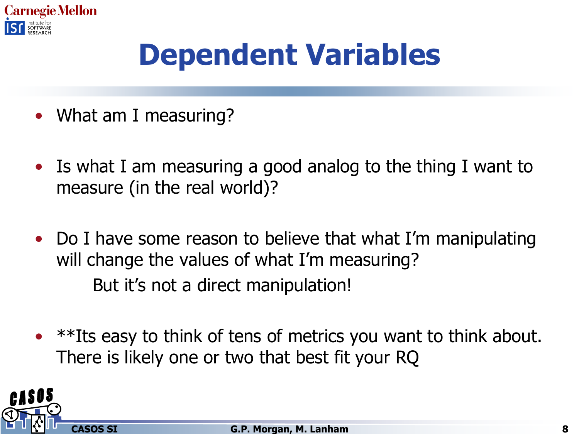

# **Dependent Variables**

- What am I measuring?
- Is what I am measuring a good analog to the thing I want to measure (in the real world)?
- Do I have some reason to believe that what I'm manipulating will change the values of what I'm measuring? But it's not a direct manipulation!
- \*\*Its easy to think of tens of metrics you want to think about. There is likely one or two that best fit your RQ

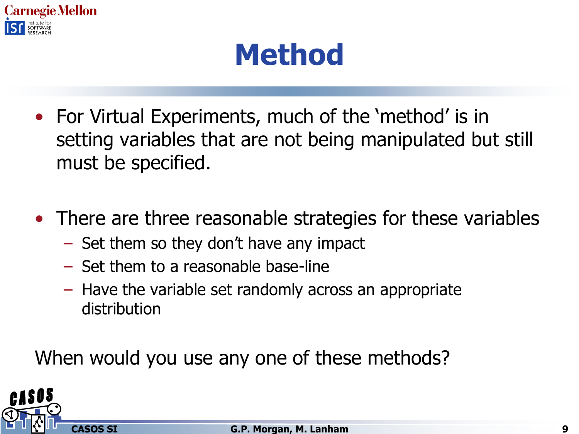

#### **Method**

- For Virtual Experiments, much of the 'method' is in setting variables that are not being manipulated but still must be specified.
- There are three reasonable strategies for these variables
	- Set them so they don't have any impact
	- Set them to a reasonable base-line
	- Have the variable set randomly across an appropriate distribution

When would you use any one of these methods?

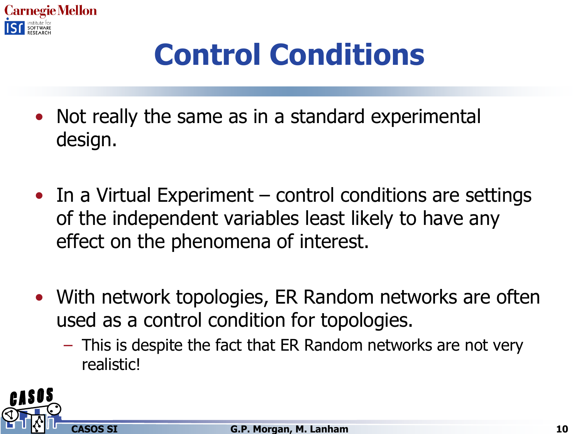

# **Control Conditions**

- Not really the same as in a standard experimental design.
- In a Virtual Experiment control conditions are settings of the independent variables least likely to have any effect on the phenomena of interest.
- With network topologies, ER Random networks are often used as a control condition for topologies.
	- This is despite the fact that ER Random networks are not very realistic!

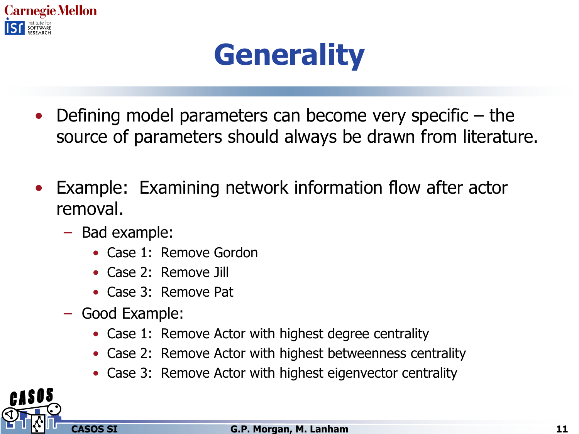

### **Generality**

- Defining model parameters can become very specific  $-$  the source of parameters should always be drawn from literature.
- Example: Examining network information flow after actor removal.
	- Bad example:
		- Case 1: Remove Gordon
		- Case 2: Remove Jill
		- Case 3: Remove Pat
	- Good Example:
		- Case 1: Remove Actor with highest degree centrality
		- Case 2: Remove Actor with highest betweenness centrality
		- Case 3: Remove Actor with highest eigenvector centrality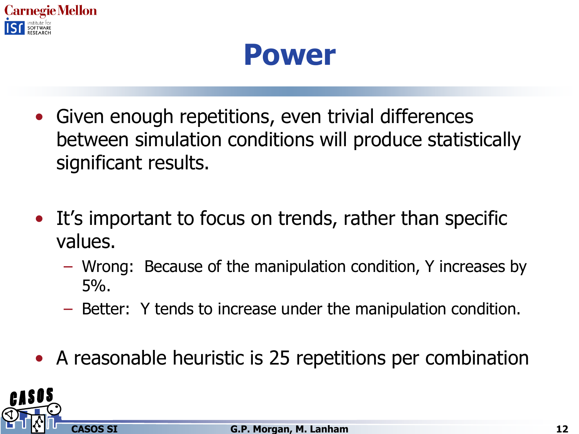

#### **Power**

- Given enough repetitions, even trivial differences between simulation conditions will produce statistically significant results.
- It's important to focus on trends, rather than specific values.
	- Wrong: Because of the manipulation condition, Y increases by 5%.
	- Better: Y tends to increase under the manipulation condition.
- A reasonable heuristic is 25 repetitions per combination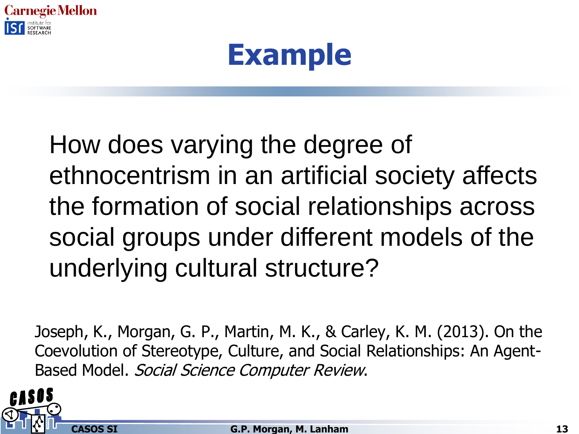

#### **Example**

#### How does varying the degree of ethnocentrism in an artificial society affects the formation of social relationships across social groups under different models of the underlying cultural structure?

Joseph, K., Morgan, G. P., Martin, M. K., & Carley, K. M. (2013). On the Coevolution of Stereotype, Culture, and Social Relationships: An Agent-Based Model. Social Science Computer Review.

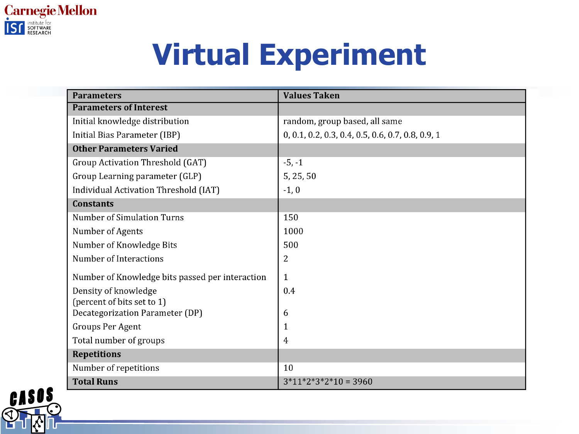

### **Virtual Experiment**

| <b>Parameters</b>                               | <b>Values Taken</b>                               |
|-------------------------------------------------|---------------------------------------------------|
| <b>Parameters of Interest</b>                   |                                                   |
| Initial knowledge distribution                  | random, group based, all same                     |
| Initial Bias Parameter (IBP)                    | 0, 0.1, 0.2, 0.3, 0.4, 0.5, 0.6, 0.7, 0.8, 0.9, 1 |
| <b>Other Parameters Varied</b>                  |                                                   |
| Group Activation Threshold (GAT)                | $-5, -1$                                          |
| Group Learning parameter (GLP)                  | 5, 25, 50                                         |
| Individual Activation Threshold (IAT)           | $-1, 0$                                           |
| <b>Constants</b>                                |                                                   |
| <b>Number of Simulation Turns</b>               | 150                                               |
| Number of Agents                                | 1000                                              |
| Number of Knowledge Bits                        | 500                                               |
| <b>Number of Interactions</b>                   | 2                                                 |
| Number of Knowledge bits passed per interaction | $\mathbf{1}$                                      |
| Density of knowledge                            | 0.4                                               |
| (percent of bits set to 1)                      |                                                   |
| Decategorization Parameter (DP)                 | 6                                                 |
| Groups Per Agent                                | 1                                                 |
| Total number of groups                          | 4                                                 |
| <b>Repetitions</b>                              |                                                   |
| Number of repetitions                           | 10                                                |
| <b>Total Runs</b>                               | $3*11*2*3*2*10 = 3960$                            |

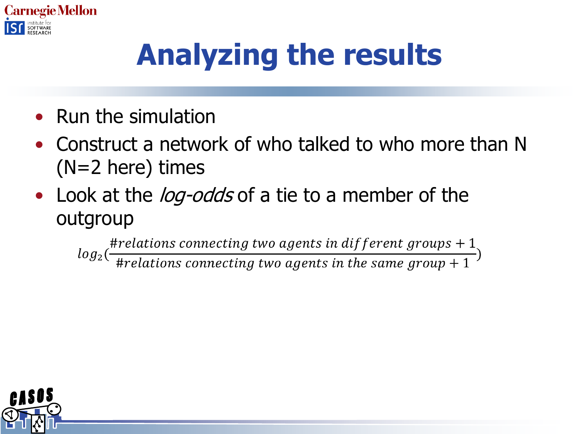

# **Analyzing the results**

- Run the simulation
- Construct a network of who talked to who more than N (N=2 here) times
- Look at the *log-odds* of a tie to a member of the outgroup

 $log_2(\frac{\#relations\ connecting\ two\ agents\ in\ different\ groups+1}{\#relations\ connecting\ two\ agents\ in\ the\ same\ group+1})$ 

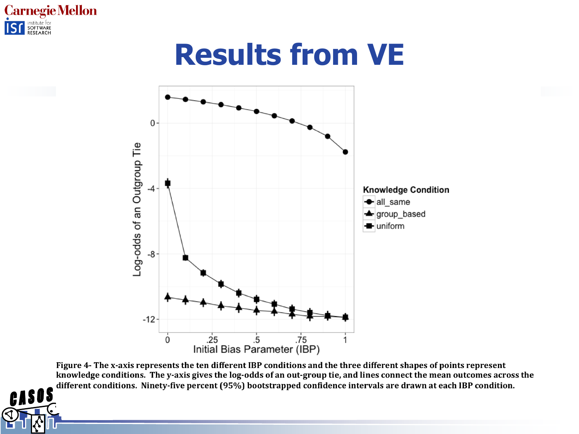

#### **Results from VE**



Figure 4- The x-axis represents the ten different IBP conditions and the three different shapes of points represent knowledge conditions. The y-axis gives the log-odds of an out-group tie, and lines connect the mean outcomes across the different conditions. Ninety-five percent (95%) bootstrapped confidence intervals are drawn at each IBP condition.

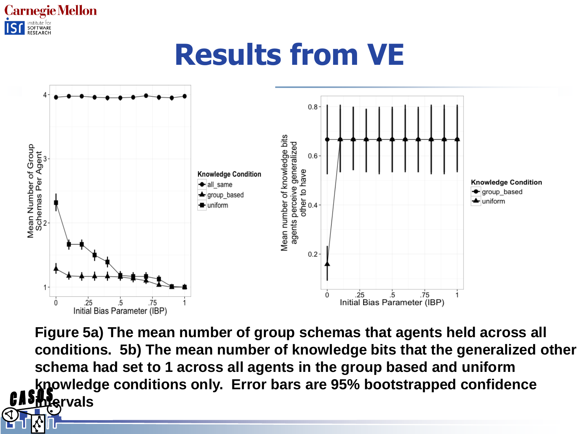

### **Results from VE**



**Figure 5a) The mean number of group schemas that agents held across all conditions. 5b) The mean number of knowledge bits that the generalized other schema had set to 1 across all agents in the group based and uniform knowledge conditions only. Error bars are 95% bootstrapped confidence intervals**